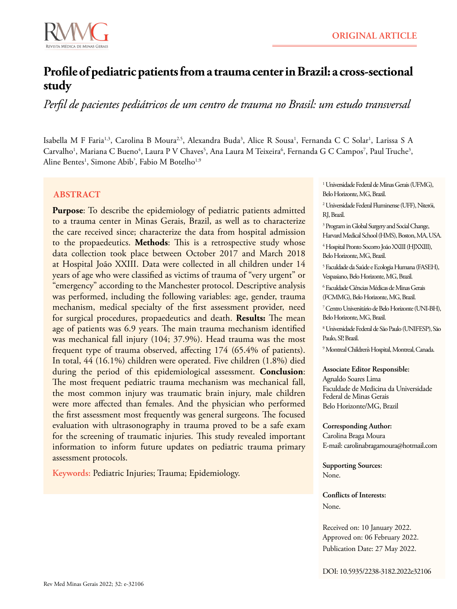

# **Profile of pediatric patients from a trauma center in Brazil: a cross-sectional study**

*Perfil de pacientes pediátricos de um centro de trauma no Brasil: um estudo transversal*

Isabella M F Faria<sup>1,3</sup>, Carolina B Moura<sup>2,5</sup>, Alexandra Buda<sup>3</sup>, Alice R Sousa<sup>1</sup>, Fernanda C C Solar<sup>1</sup>, Larissa S A Carvalho<sup>1</sup>, Mariana C Bueno<sup>4</sup>, Laura P V Chaves<sup>5</sup>, Ana Laura M Teixeira<sup>6</sup>, Fernanda G C Campos<sup>7</sup>, Paul Truche<sup>3</sup>, Aline Bentes<sup>1</sup>, Simone Abib<sup>3</sup>, Fabio M Botelho<sup>1,9</sup>

# **ABSTRACT**

**Purpose**: To describe the epidemiology of pediatric patients admitted to a trauma center in Minas Gerais, Brazil, as well as to characterize the care received since; characterize the data from hospital admission to the propaedeutics. **Methods**: This is a retrospective study whose data collection took place between October 2017 and March 2018 at Hospital João XXIII. Data were collected in all children under 14 years of age who were classified as victims of trauma of "very urgent" or "emergency" according to the Manchester protocol. Descriptive analysis was performed, including the following variables: age, gender, trauma mechanism, medical specialty of the first assessment provider, need for surgical procedures, propaedeutics and death. **Results:** The mean age of patients was 6.9 years. The main trauma mechanism identified was mechanical fall injury (104; 37.9%). Head trauma was the most frequent type of trauma observed, affecting 174 (65.4% of patients). In total, 44 (16.1%) children were operated. Five children (1.8%) died during the period of this epidemiological assessment. **Conclusion**: The most frequent pediatric trauma mechanism was mechanical fall, the most common injury was traumatic brain injury, male children were more affected than females. And the physician who performed the first assessment most frequently was general surgeons. The focused evaluation with ultrasonography in trauma proved to be a safe exam for the screening of traumatic injuries. This study revealed important information to inform future updates on pediatric trauma primary assessment protocols.

**Keywords:** Pediatric Injuries; Trauma; Epidemiology.

1 Universidade Federal de Minas Gerais (UFMG), Belo Horizonte, MG, Brazil.

2 Universidade Federal Fluminense (UFF), Niterói, RJ, Brazil.

3 Program in Global Surgery and Social Change, Harvard Medical School (HMS), Boston, MA, USA.

4 Hospital Pronto Socorro João XXIII (HJXXIII), Belo Horizonte, MG, Brazil.

5 Faculdade da Saúde e Ecologia Humana (FASEH), Vespasiano, Belo Horizonte, MG, Brazil.

6 Faculdade Ciências Médicas de Minas Gerais (FCMMG), Belo Horizonte, MG, Brazil.

7 Centro Universitário de Belo Horizonte (UNI-BH), Belo Horizonte, MG, Brazil.

8 Universidade Federal de São Paulo (UNIFESP), São Paulo, SP, Brazil.

9 Montreal Children's Hospital, Montreal, Canada.

## **Associate Editor Responsible:**

Agnaldo Soares Lima Faculdade de Medicina da Universidade Federal de Minas Gerais Belo Horizonte/MG, Brazil

## **Corresponding Author:**

Carolina Braga Moura E-mail: [carolinabragamoura@hotmail.com](mailto:carolinabragamoura%40hotmail.com?subject=carolinabragamoura%40hotmail.com)

**Supporting Sources:** None.

**Conflicts of Interests:** None.

Received on: 10 January 2022. Approved on: 06 February 2022. Publication Date: 27 May 2022.

DOI: 10.5935/2238-3182.2022e32106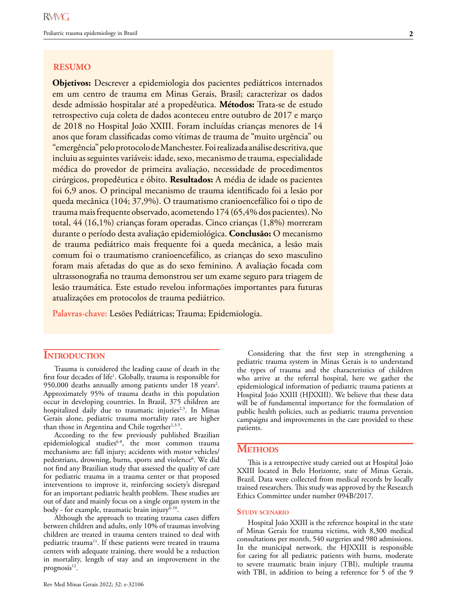## **RESUMO**

**Objetivos:** Descrever a epidemiologia dos pacientes pediátricos internados em um centro de trauma em Minas Gerais, Brasil; caracterizar os dados desde admissão hospitalar até a propedêutica. **Métodos:** Trata-se de estudo retrospectivo cuja coleta de dados aconteceu entre outubro de 2017 e março de 2018 no Hospital João XXIII. Foram incluídas crianças menores de 14 anos que foram classificadas como vítimas de trauma de "muito urgência" ou "emergência" pelo protocolo de Manchester. Foi realizada análise descritiva, que incluiu as seguintes variáveis: idade, sexo, mecanismo de trauma, especialidade médica do provedor de primeira avaliação, necessidade de procedimentos cirúrgicos, propedêutica e óbito. **Resultados:** A média de idade os pacientes foi 6,9 anos. O principal mecanismo de trauma identificado foi a lesão por queda mecânica (104; 37,9%). O traumatismo cranioencefálico foi o tipo de trauma mais frequente observado, acometendo 174 (65,4% dos pacientes). No total, 44 (16,1%) crianças foram operadas. Cinco crianças (1,8%) morreram durante o período desta avaliação epidemiológica. **Conclusão:** O mecanismo de trauma pediátrico mais frequente foi a queda mecânica, a lesão mais comum foi o traumatismo cranioencefálico, as crianças do sexo masculino foram mais afetadas do que as do sexo feminino. A avaliação focada com ultrassonografia no trauma demonstrou ser um exame seguro para triagem de lesão traumática. Este estudo revelou informações importantes para futuras atualizações em protocolos de trauma pediátrico.

**Palavras-chave:** Lesões Pediátricas; Trauma; Epidemiologia.

## **INTRODUCTION**

Trauma is considered the leading cause of death in the first four decades of life<sup>1</sup>. Globally, trauma is responsible for 950,000 deaths annually among patients under 18 years<sup>2</sup>. Approximately 95% of trauma deaths in this population occur in developing countries. In Brazil, 375 children are hospitalized daily due to traumatic injuries<sup>2,3</sup>. In Minas Gerais alone, pediatric trauma mortality rates are higher than those in Argentina and Chile together<sup>1,3-5</sup>.

According to the few previously published Brazilian epidemiological studies<sup>6-8</sup>, the most common trauma mechanisms are: fall injury; accidents with motor vehicles/ pedestrians, drowning, burns, sports and violence<sup>6</sup>. We did not find any Brazilian study that assessed the quality of care for pediatric trauma in a trauma center or that proposed interventions to improve it, reinforcing society's disregard for an important pediatric health problem. These studies are out of date and mainly focus on a single organ system in the body - for example, traumatic brain injury $\overline{6}$ -10.

Although the approach to treating trauma cases differs between children and adults, only 10% of traumas involving children are treated in trauma centers trained to deal with pediatric trauma<sup>11</sup>. If these patients were treated in trauma centers with adequate training, there would be a reduction in mortality, length of stay and an improvement in the prognosis $^{12}$ .

Considering that the first step in strengthening a pediatric trauma system in Minas Gerais is to understand the types of trauma and the characteristics of children who arrive at the referral hospital, here we gather the epidemiological information of pediatric trauma patients at Hospital João XXIII (HJXXIII). We believe that these data will be of fundamental importance for the formulation of public health policies, such as pediatric trauma prevention campaigns and improvements in the care provided to these patients.

# **Methods**

This is a retrospective study carried out at Hospital João XXIII located in Belo Horizonte, state of Minas Gerais, Brazil. Data were collected from medical records by locally trained researchers. This study was approved by the Research Ethics Committee under number 094B/2017.

#### **Study scenario**

Hospital João XXIII is the reference hospital in the state of Minas Gerais for trauma victims, with 8,300 medical consultations per month, 540 surgeries and 980 admissions. In the municipal network, the HJXXIII is responsible for caring for all pediatric patients with burns, moderate to severe traumatic brain injury (TBI), multiple trauma with TBI, in addition to being a reference for 5 of the 9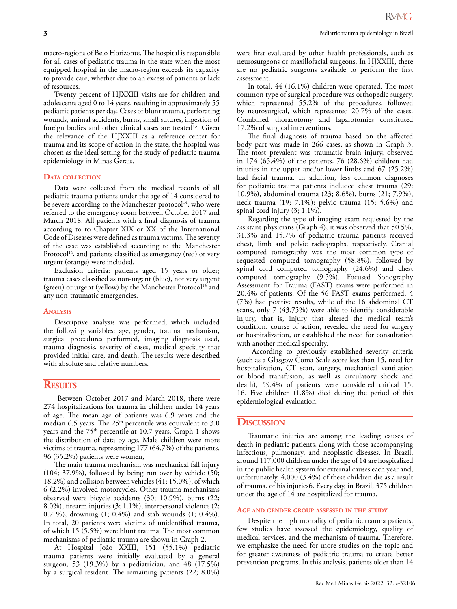macro-regions of Belo Horizonte. The hospital is responsible for all cases of pediatric trauma in the state when the most equipped hospital in the macro-region exceeds its capacity to provide care, whether due to an excess of patients or lack of resources.

Twenty percent of HJXXIII visits are for children and adolescents aged 0 to 14 years, resulting in approximately 55 pediatric patients per day. Cases of blunt trauma, perforating wounds, animal accidents, burns, small sutures, ingestion of foreign bodies and other clinical cases are treated<sup>13</sup>. Given the relevance of the HJXXIII as a reference center for trauma and its scope of action in the state, the hospital was chosen as the ideal setting for the study of pediatric trauma epidemiology in Minas Gerais.

#### **Data collection**

Data were collected from the medical records of all pediatric trauma patients under the age of 14 considered to be severe according to the Manchester protocol<sup>14</sup>, who were referred to the emergency room between October 2017 and March 2018. All patients with a final diagnosis of trauma according to to Chapter XIX or XX of the International Code of Diseases were defined as trauma victims. The severity of the case was established according to the Manchester Protocol<sup>14</sup>, and patients classified as emergency (red) or very urgent (orange) were included.

Exclusion criteria: patients aged 15 years or older; trauma cases classified as non-urgent (blue), not very urgent (green) or urgent (yellow) by the Manchester Protocol<sup>14</sup> and any non-traumatic emergencies.

#### **Analysis**

Descriptive analysis was performed, which included the following variables: age, gender, trauma mechanism, surgical procedures performed, imaging diagnosis used, trauma diagnosis, severity of cases, medical specialty that provided initial care, and death. The results were described with absolute and relative numbers.

## **Results**

 Between October 2017 and March 2018, there were 274 hospitalizations for trauma in children under 14 years of age. The mean age of patients was 6.9 years and the median 6.5 years. The 25<sup>th</sup> percentile was equivalent to 3.0 years and the 75<sup>th</sup> percentile at 10.7 years. Graph 1 shows the distribution of data by age. Male children were more victims of trauma, representing 177 (64.7%) of the patients. 96 (35.2%) patients were women,

The main trauma mechanism was mechanical fall injury (104; 37.9%), followed by being run over by vehicle (50; 18.2%) and collision between vehicles (41; 15.0%), of which 6 (2.2%) involved motorcycles. Other trauma mechanisms observed were bicycle accidents (30; 10.9%), burns (22; 8.0%), firearm injuries (3; 1.1%), interpersonal violence (2; 0.7 %), drowning (1; 0.4%) and stab wounds (1; 0.4%). In total, 20 patients were victims of unidentified trauma, of which 15 (5.5%) were blunt trauma. The most common mechanisms of pediatric trauma are shown in Graph 2.

At Hospital João XXIII, 151 (55.1%) pediatric trauma patients were initially evaluated by a general surgeon, 53 (19.3%) by a pediatrician, and 48 (17.5%) by a surgical resident. The remaining patients (22; 8.0%)

were first evaluated by other health professionals, such as neurosurgeons or maxillofacial surgeons. In HJXXIII, there are no pediatric surgeons available to perform the first assessment.

In total, 44 (16.1%) children were operated. The most common type of surgical procedure was orthopedic surgery, which represented 55.2% of the procedures, followed by neurosurgical, which represented 20.7% of the cases. Combined thoracotomy and laparotomies constituted 17.2% of surgical interventions.

The final diagnosis of trauma based on the affected body part was made in 266 cases, as shown in Graph 3. The most prevalent was traumatic brain injury, observed in 174 (65.4%) of the patients. 76 (28.6%) children had injuries in the upper and/or lower limbs and 67 (25.2%) had facial trauma. In addition, less common diagnoses for pediatric trauma patients included chest trauma (29; 10.9%), abdominal trauma (23; 8.6%), burns (21; 7.9%), neck trauma (19; 7.1%); pelvic trauma (15; 5.6%) and spinal cord injury (3; 1.1%).

Regarding the type of imaging exam requested by the assistant physicians (Graph 4), it was observed that 50.5%, 31.3% and 15.7% of pediatric trauma patients received chest, limb and pelvic radiographs, respectively. Cranial computed tomography was the most common type of requested computed tomography (58.8%), followed by spinal cord computed tomography (24.6%) and chest computed tomography (9.5%). Focused Sonography Assessment for Trauma (FAST) exams were performed in 20.4% of patients. Of the 56 FAST exams performed, 4 (7%) had positive results, while of the 16 abdominal CT scans, only 7 (43.75%) were able to identify considerable injury, that is, injury that altered the medical team's condition. course of action, revealed the need for surgery or hospitalization, or established the need for consultation with another medical specialty.

 According to previously established severity criteria (such as a Glasgow Coma Scale score less than 15, need for hospitalization, CT scan, surgery, mechanical ventilation or blood transfusion, as well as circulatory shock and death), 59.4% of patients were considered critical 15, 16. Five children (1.8%) died during the period of this epidemiological evaluation.

## **Discussion**

Traumatic injuries are among the leading causes of death in pediatric patients, along with those accompanying infectious, pulmonary, and neoplastic diseases. In Brazil, around 117,000 children under the age of 14 are hospitalized in the public health system for external causes each year and, unfortunately, 4,000 (3.4%) of these children die as a result of trauma. of his injuries6. Every day, in Brazil, 375 children under the age of 14 are hospitalized for trauma.

#### **Age and gender group assessed in the study**

Despite the high mortality of pediatric trauma patients, few studies have assessed the epidemiology, quality of medical services, and the mechanism of trauma. Therefore, we emphasize the need for more studies on the topic and for greater awareness of pediatric trauma to create better prevention programs. In this analysis, patients older than 14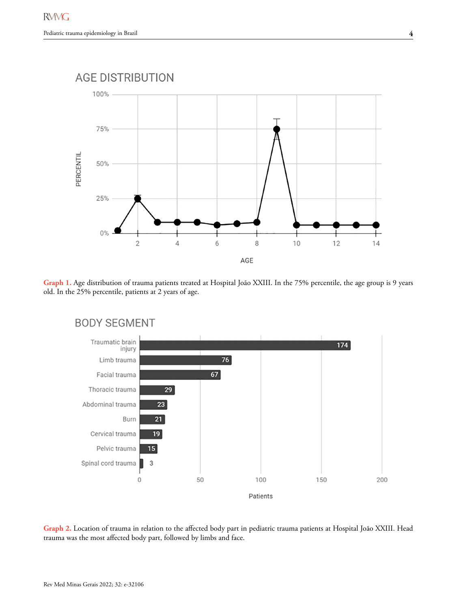

**Graph 1.** Age distribution of trauma patients treated at Hospital João XXIII. In the 75% percentile, the age group is 9 years old. In the 25% percentile, patients at 2 years of age.



**Graph 2.** Location of trauma in relation to the affected body part in pediatric trauma patients at Hospital João XXIII. Head trauma was the most affected body part, followed by limbs and face.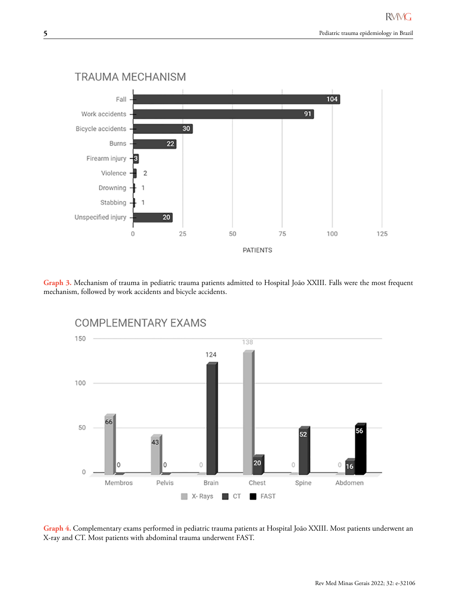

**Graph 3.** Mechanism of trauma in pediatric trauma patients admitted to Hospital João XXIII. Falls were the most frequent mechanism, followed by work accidents and bicycle accidents.



**Graph 4.** Complementary exams performed in pediatric trauma patients at Hospital João XXIII. Most patients underwent an X-ray and CT. Most patients with abdominal trauma underwent FAST.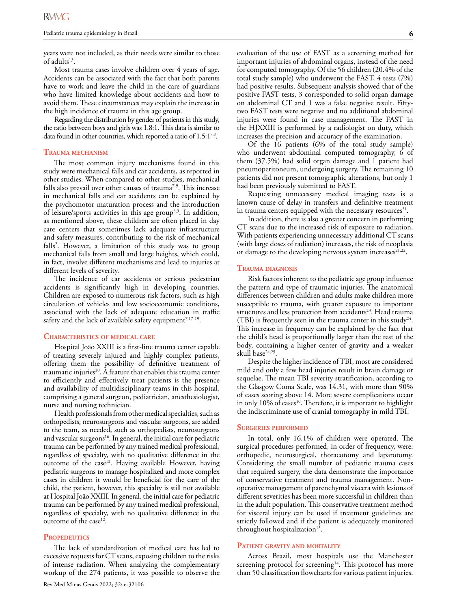years were not included, as their needs were similar to those of adults<sup>13</sup>.

Most trauma cases involve children over 4 years of age. Accidents can be associated with the fact that both parents have to work and leave the child in the care of guardians who have limited knowledge about accidents and how to avoid them. These circumstances may explain the increase in the high incidence of trauma in this age group.

Regarding the distribution by gender of patients in this study, the ratio between boys and girls was 1.8:1. This data is similar to data found in other countries, which reported a ratio of  $1.5:1^{7,8}$ .

#### **Trauma mechanism**

The most common injury mechanisms found in this study were mechanical falls and car accidents, as reported in other studies. When compared to other studies, mechanical falls also prevail over other causes of trauma<sup> $7-9$ </sup>. This increase in mechanical falls and car accidents can be explained by the psychomotor maturation process and the introduction of leisure/sports activities in this age group<sup>8,9</sup>. In addition, as mentioned above, these children are often placed in day care centers that sometimes lack adequate infrastructure and safety measures, contributing to the risk of mechanical falls<sup>2</sup>. However, a limitation of this study was to group mechanical falls from small and large heights, which could, in fact, involve different mechanisms and lead to injuries at different levels of severity.

The incidence of car accidents or serious pedestrian accidents is significantly high in developing countries. Children are exposed to numerous risk factors, such as high circulation of vehicles and low socioeconomic conditions, associated with the lack of adequate education in traffic safety and the lack of available safety equipment<sup>7,17-19</sup>.

### **Characteristics of medical care**

Hospital João XXIII is a first-line trauma center capable of treating severely injured and highly complex patients, offering them the possibility of definitive treatment of traumatic injuries<sup>20</sup>. A feature that enables this trauma center to efficiently and effectively treat patients is the presence and availability of multidisciplinary teams in this hospital, comprising a general surgeon, pediatrician, anesthesiologist, nurse and nursing technician.

Health professionals from other medical specialties, such as orthopedists, neurosurgeons and vascular surgeons, are added to the team, as needed, such as orthopedists, neurosurgeons and vascular surgeons<sup>16</sup>. In general, the initial care for pediatric trauma can be performed by any trained medical professional, regardless of specialty, with no qualitative difference in the outcome of the case<sup>12</sup>. Having available However, having pediatric surgeons to manage hospitalized and more complex cases in children it would be beneficial for the care of the child, the patient, however, this specialty is still not available at Hospital João XXIII. In general, the initial care for pediatric trauma can be performed by any trained medical professional, regardless of specialty, with no qualitative difference in the outcome of the case<sup>12</sup>.

#### PROPEDEUTICS

The lack of standardization of medical care has led to excessive requests for CT scans, exposing children to the risks of intense radiation. When analyzing the complementary workup of the 274 patients, it was possible to observe the evaluation of the use of FAST as a screening method for important injuries of abdominal organs, instead of the need for computed tomography. Of the 56 children (20.4% of the total study sample) who underwent the FAST, 4 tests (7%) had positive results. Subsequent analysis showed that of the positive FAST tests, 3 corresponded to solid organ damage on abdominal CT and 1 was a false negative result. Fiftytwo FAST tests were negative and no additional abdominal injuries were found in case management. The FAST in the HJXXIII is performed by a radiologist on duty, which increases the precision and accuracy of the examination.

Of the 16 patients (6% of the total study sample) who underwent abdominal computed tomography, 6 of them (37.5%) had solid organ damage and 1 patient had pneumoperitoneum, undergoing surgery. The remaining 10 patients did not present tomographic alterations, but only 1 had been previously submitted to FAST.

Requesting unnecessary medical imaging tests is a known cause of delay in transfers and definitive treatment in trauma centers equipped with the necessary resources<sup>21</sup>.

In addition, there is also a greater concern in performing CT scans due to the increased risk of exposure to radiation. With patients experiencing unnecessary additional CT scans (with large doses of radiation) increases, the risk of neoplasia or damage to the developing nervous system increases<sup>21,22</sup>.

#### **Trauma diagnosis**

Risk factors inherent to the pediatric age group influence the pattern and type of traumatic injuries. The anatomical differences between children and adults make children more susceptible to trauma, with greater exposure to important structures and less protection from accidents<sup>23</sup>. Head trauma (TBI) is frequently seen in the trauma center in this study<sup>24</sup>. This increase in frequency can be explained by the fact that the child's head is proportionally larger than the rest of the body, containing a higher center of gravity and a weaker skull base<sup>24,25</sup>.

Despite the higher incidence of TBI, most are considered mild and only a few head injuries result in brain damage or sequelae. The mean TBI severity stratification, according to the Glasgow Coma Scale, was 14.31, with more than 90% of cases scoring above 14. More severe complications occur in only  $10\%$  of cases<sup>10</sup>. Therefore, it is important to highlight the indiscriminate use of cranial tomography in mild TBI.

#### **Surgeries performed**

In total, only 16.1% of children were operated. The surgical procedures performed, in order of frequency, were: orthopedic, neurosurgical, thoracotomy and laparotomy. Considering the small number of pediatric trauma cases that required surgery, the data demonstrate the importance of conservative treatment and trauma management. Nonoperative management of parenchymal viscera with lesions of different severities has been more successful in children than in the adult population. This conservative treatment method for visceral injury can be used if treatment guidelines are strictly followed and if the patient is adequately monitored throughout hospitalization $13$ .

#### **Patient gravity and mortality**

Across Brazil, most hospitals use the Manchester screening protocol for screening<sup>14</sup>. This protocol has more than 50 classification flowcharts for various patient injuries.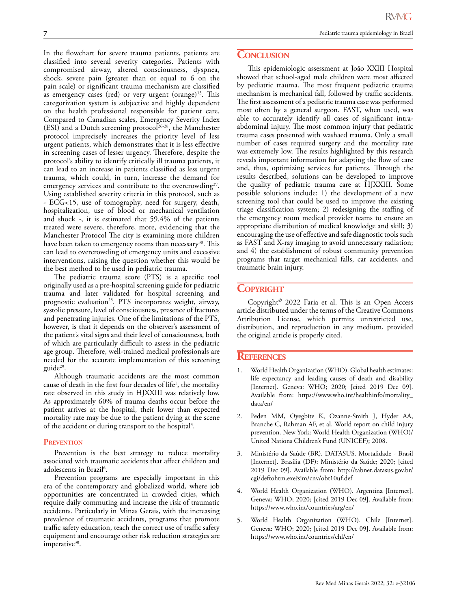In the flowchart for severe trauma patients, patients are classified into several severity categories. Patients with compromised airway, altered consciousness, dyspnea, shock, severe pain (greater than or equal to 6 on the pain scale) or significant trauma mechanism are classified as emergency cases (red) or very urgent (orange) $13$ . This categorization system is subjective and highly dependent on the health professional responsible for patient care. Compared to Canadian scales, Emergency Severity Index (ESI) and a Dutch screening protocol<sup>26-28</sup>, the Manchester protocol imprecisely increases the priority level of less urgent patients, which demonstrates that it is less effective in screening cases of lesser urgency. Therefore, despite the protocol's ability to identify critically ill trauma patients, it can lead to an increase in patients classified as less urgent trauma, which could, in turn, increase the demand for emergency services and contribute to the overcrowding<sup>29</sup>. Using established severity criteria in this protocol, such as - ECG<15, use of tomography, need for surgery, death, hospitalization, use of blood or mechanical ventilation and shock -, it is estimated that 59.4% of the patients treated were severe, therefore, more, evidencing that the Manchester Protocol The city is examining more children have been taken to emergency rooms than necessary<sup>30</sup>. This can lead to overcrowding of emergency units and excessive interventions, raising the question whether this would be the best method to be used in pediatric trauma.

The pediatric trauma score (PTS) is a specific tool originally used as a pre-hospital screening guide for pediatric trauma and later validated for hospital screening and prognostic evaluation<sup>28</sup>. PTS incorporates weight, airway, systolic pressure, level of consciousness, presence of fractures and penetrating injuries. One of the limitations of the PTS, however, is that it depends on the observer's assessment of the patient's vital signs and their level of consciousness, both of which are particularly difficult to assess in the pediatric age group. Therefore, well-trained medical professionals are needed for the accurate implementation of this screening guide<sup>29</sup>.

Although traumatic accidents are the most common cause of death in the first four decades of life<sup>1</sup>, the mortality rate observed in this study in HJXXIII was relatively low. As approximately 60% of trauma deaths occur before the patient arrives at the hospital, their lower than expected mortality rate may be due to the patient dying at the scene of the accident or during transport to the hospital<sup>3</sup>.

#### **Prevention**

Prevention is the best strategy to reduce mortality associated with traumatic accidents that affect children and adolescents in Brazil<sup>6</sup>.

Prevention programs are especially important in this era of the contemporary and globalized world, where job opportunities are concentrated in crowded cities, which require daily commuting and increase the risk of traumatic accidents. Particularly in Minas Gerais, with the increasing prevalence of traumatic accidents, programs that promote traffic safety education, teach the correct use of traffic safety equipment and encourage other risk reduction strategies are imperative<sup>30</sup>.

# **CONCLUSION**

This epidemiologic assessment at João XXIII Hospital showed that school-aged male children were most affected by pediatric trauma. The most frequent pediatric trauma mechanism is mechanical fall, followed by traffic accidents. The first assessment of a pediatric trauma case was performed most often by a general surgeon. FAST, when used, was able to accurately identify all cases of significant intraabdominal injury. The most common injury that pediatric trauma cases presented with washaed trauma. Only a small number of cases required surgery and the mortality rate was extremely low. The results highlighted by this research reveals important information for adapting the flow of care and, thus, optimizing services for patients. Through the results described, solutions can be developed to improve the quality of pediatric trauma care at HJXXIII. Some possible solutions include: 1) the development of a new screening tool that could be used to improve the existing triage classification system; 2) redesigning the staffing of the emergency room medical provider teams to ensure an appropriate distribution of medical knowledge and skill; 3) encouraging the use of effective and safe diagnostic tools such as FAST and X-ray imaging to avoid unnecessary radiation; and 4) the establishment of robust community prevention programs that target mechanical falls, car accidents, and traumatic brain injury.

# **Copyright**

Copyright© 2022 Faria et al. This is an Open Access article distributed under the terms of the Creative Commons Attribution License, which permits unrestricted use, distribution, and reproduction in any medium, provided the original article is properly cited.

## **References**

- 1. World Health Organization (WHO). Global health estimates: life expectancy and leading causes of death and disability [Internet]. Geneva: WHO; 2020; [cited 2019 Dec 09]. Available from: [https://www.who.int/healthinfo/mortality\\_](https://www.who.int/healthinfo/mortality_data/en/) [data/en/](https://www.who.int/healthinfo/mortality_data/en/)
- 2. Peden MM, Oyegbite K, Ozanne-Smith J, Hyder AA, Branche C, Rahman AF, et al. World report on child injury prevention. New York: World Health Organization (WHO)/ United Nations Children's Fund (UNICEF); 2008.
- 3. Ministério da Saúde (BR). DATASUS. Mortalidade Brasil [Internet]. Brasília (DF): Ministério da Saúde; 2020; [cited 2019 Dec 09]. Available from: [http://tabnet.datasus.gov.br/](http://tabnet.datasus.gov.br/cgi/deftohtm.exe?sim/cnv/obt10uf.def) [cgi/deftohtm.exe?sim/cnv/obt10uf.def](http://tabnet.datasus.gov.br/cgi/deftohtm.exe?sim/cnv/obt10uf.def)
- 4. World Health Organization (WHO). Argentina [Internet]. Geneva: WHO; 2020; [cited 2019 Dec 09]. Available from: <https://www.who.int/countries/arg/en/>
- 5. World Health Organization (WHO). Chile [Internet]. Geneva: WHO; 2020; [cited 2019 Dec 09]. Available from: <https://www.who.int/countries/chl/en/>